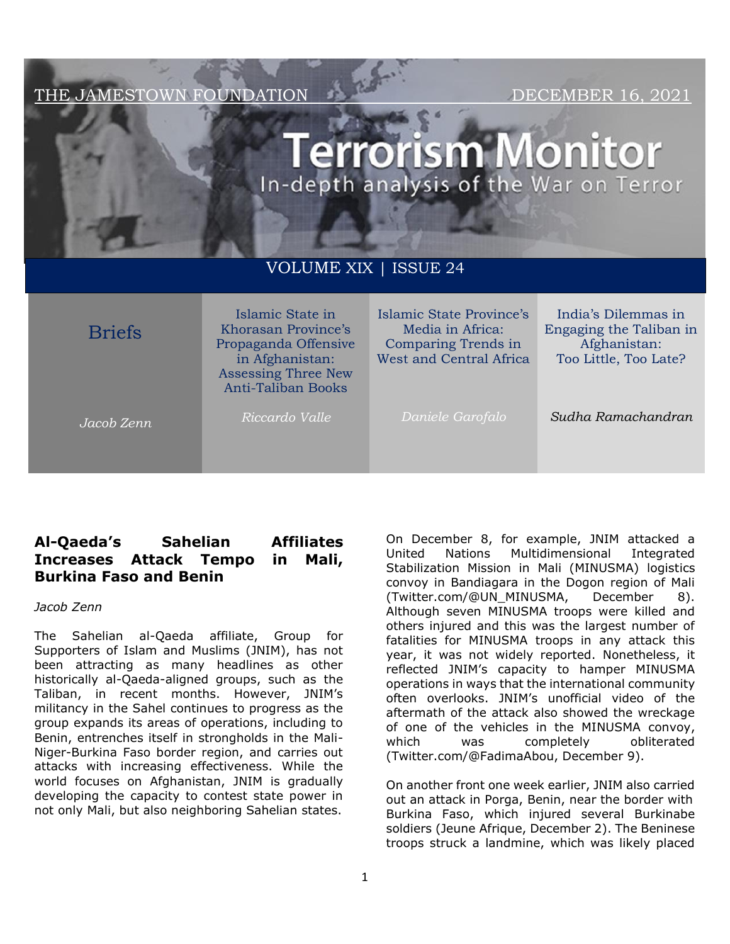THE JAMESTOWN FOUNDATION DECEMBER 16, 2021

# **rrorism Monitor** In-depth analysis of the War on Terror

# VOLUME XIX | ISSUE 24

| <b>Briefs</b> | Islamic State in<br>Khorasan Province's<br>Propaganda Offensive<br>in Afghanistan:<br><b>Assessing Three New</b><br><b>Anti-Taliban Books</b> | Islamic State Province's<br>Media in Africa:<br>Comparing Trends in<br><b>West and Central Africa</b> | India's Dilemmas in<br>Engaging the Taliban in<br>Afghanistan:<br>Too Little, Too Late? |
|---------------|-----------------------------------------------------------------------------------------------------------------------------------------------|-------------------------------------------------------------------------------------------------------|-----------------------------------------------------------------------------------------|
| Jacob Zenn    | Riccardo Valle                                                                                                                                | Daniele Garofalo                                                                                      | Sudha Ramachandran                                                                      |

# **Al-Qaeda's Sahelian Affiliates Increases Attack Tempo in Mali, Burkina Faso and Benin**

#### *Jacob Zenn*

The Sahelian al-Qaeda affiliate, Group for Supporters of Islam and Muslims (JNIM), has not been attracting as many headlines as other historically al-Qaeda-aligned groups, such as the Taliban, in recent months. However, JNIM's militancy in the Sahel continues to progress as the group expands its areas of operations, including to Benin, entrenches itself in strongholds in the Mali-Niger-Burkina Faso border region, and carries out attacks with increasing effectiveness. While the world focuses on Afghanistan, JNIM is gradually developing the capacity to contest state power in not only Mali, but also neighboring Sahelian states.

On December 8, for example, JNIM attacked a United Nations Multidimensional Integrated Stabilization Mission in Mali (MINUSMA) logistics convoy in Bandiagara in the Dogon region of Mali (Twitter.com/@UN\_MINUSMA, December 8). Although seven MINUSMA troops were killed and others injured and this was the largest number of fatalities for MINUSMA troops in any attack this year, it was not widely reported. Nonetheless, it reflected JNIM's capacity to hamper MINUSMA operations in ways that the international community often overlooks. JNIM's unofficial video of the aftermath of the attack also showed the wreckage of one of the vehicles in the MINUSMA convoy, which was completely obliterated (Twitter.com/@FadimaAbou, December 9).

On another front one week earlier, JNIM also carried out an attack in Porga, Benin, near the border with Burkina Faso, which injured several Burkinabe soldiers (Jeune Afrique, December 2). The Beninese troops struck a landmine, which was likely placed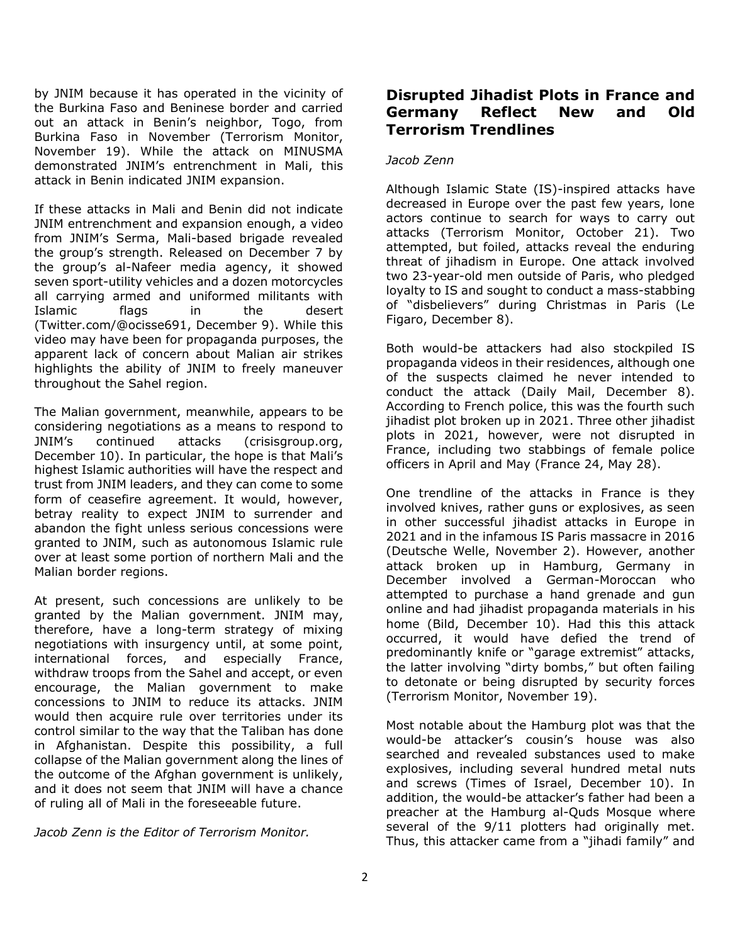by JNIM because it has operated in the vicinity of the Burkina Faso and Beninese border and carried out an attack in Benin's neighbor, Togo, from Burkina Faso in November (Terrorism Monitor, November 19). While the attack on MINUSMA demonstrated JNIM's entrenchment in Mali, this attack in Benin indicated JNIM expansion.

If these attacks in Mali and Benin did not indicate JNIM entrenchment and expansion enough, a video from JNIM's Serma, Mali-based brigade revealed the group's strength. Released on December 7 by the group's al-Nafeer media agency, it showed seven sport-utility vehicles and a dozen motorcycles all carrying armed and uniformed militants with Islamic flags in the desert (Twitter.com/@ocisse691, December 9). While this video may have been for propaganda purposes, the apparent lack of concern about Malian air strikes highlights the ability of JNIM to freely maneuver throughout the Sahel region.

The Malian government, meanwhile, appears to be considering negotiations as a means to respond to JNIM's continued attacks (crisisgroup.org, December 10). In particular, the hope is that Mali's highest Islamic authorities will have the respect and trust from JNIM leaders, and they can come to some form of ceasefire agreement. It would, however, betray reality to expect JNIM to surrender and abandon the fight unless serious concessions were granted to JNIM, such as autonomous Islamic rule over at least some portion of northern Mali and the Malian border regions.

At present, such concessions are unlikely to be granted by the Malian government. JNIM may, therefore, have a long-term strategy of mixing negotiations with insurgency until, at some point, international forces, and especially France, withdraw troops from the Sahel and accept, or even encourage, the Malian government to make concessions to JNIM to reduce its attacks. JNIM would then acquire rule over territories under its control similar to the way that the Taliban has done in Afghanistan. Despite this possibility, a full collapse of the Malian government along the lines of the outcome of the Afghan government is unlikely, and it does not seem that JNIM will have a chance of ruling all of Mali in the foreseeable future.

*Jacob Zenn is the Editor of Terrorism Monitor.*

# **Disrupted Jihadist Plots in France and Germany Reflect New and Old Terrorism Trendlines**

#### *Jacob Zenn*

Although Islamic State (IS)-inspired attacks have decreased in Europe over the past few years, lone actors continue to search for ways to carry out attacks (Terrorism Monitor, October 21). Two attempted, but foiled, attacks reveal the enduring threat of jihadism in Europe. One attack involved two 23-year-old men outside of Paris, who pledged loyalty to IS and sought to conduct a mass-stabbing of "disbelievers" during Christmas in Paris (Le Figaro, December 8).

Both would-be attackers had also stockpiled IS propaganda videos in their residences, although one of the suspects claimed he never intended to conduct the attack (Daily Mail, December 8). According to French police, this was the fourth such jihadist plot broken up in 2021. Three other jihadist plots in 2021, however, were not disrupted in France, including two stabbings of female police officers in April and May (France 24, May 28).

One trendline of the attacks in France is they involved knives, rather guns or explosives, as seen in other successful jihadist attacks in Europe in 2021 and in the infamous IS Paris massacre in 2016 (Deutsche Welle, November 2). However, another attack broken up in Hamburg, Germany in December involved a German-Moroccan who attempted to purchase a hand grenade and gun online and had jihadist propaganda materials in his home (Bild, December 10). Had this this attack occurred, it would have defied the trend of predominantly knife or "garage extremist" attacks, the latter involving "dirty bombs," but often failing to detonate or being disrupted by security forces (Terrorism Monitor, November 19).

Most notable about the Hamburg plot was that the would-be attacker's cousin's house was also searched and revealed substances used to make explosives, including several hundred metal nuts and screws (Times of Israel, December 10). In addition, the would-be attacker's father had been a preacher at the Hamburg al-Quds Mosque where several of the 9/11 plotters had originally met. Thus, this attacker came from a "jihadi family" and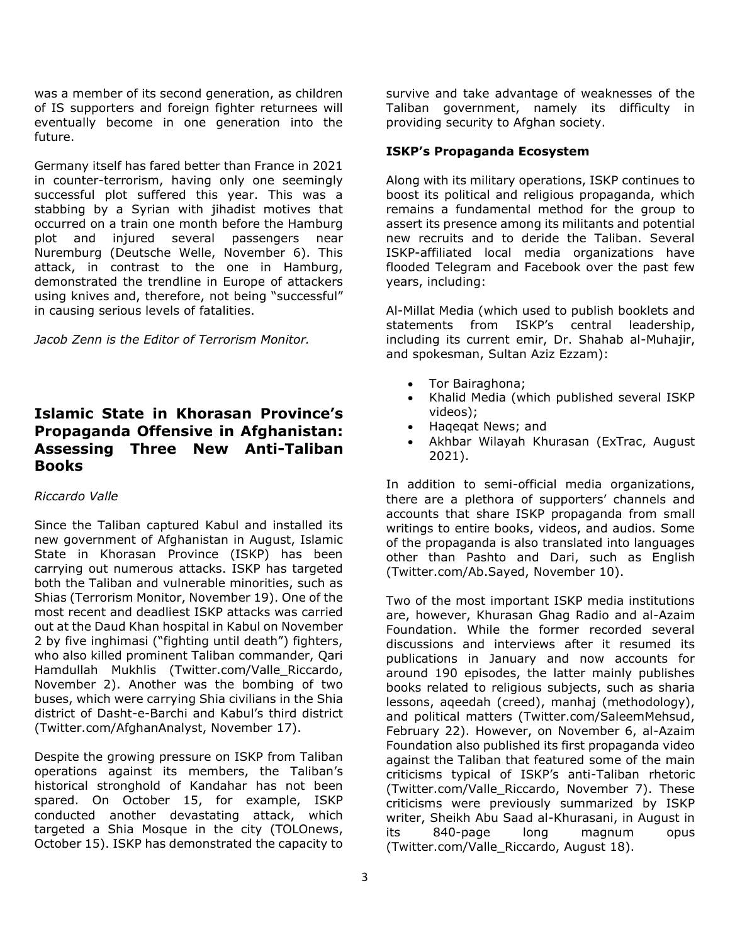was a member of its second generation, as children of IS supporters and foreign fighter returnees will eventually become in one generation into the future.

Germany itself has fared better than France in 2021 in counter-terrorism, having only one seemingly successful plot suffered this year. This was a stabbing by a Syrian with jihadist motives that occurred on a train one month before the Hamburg plot and injured several passengers near Nuremburg (Deutsche Welle, November 6). This attack, in contrast to the one in Hamburg, demonstrated the trendline in Europe of attackers using knives and, therefore, not being "successful" in causing serious levels of fatalities.

*Jacob Zenn is the Editor of Terrorism Monitor.*

# **Islamic State in Khorasan Province's Propaganda Offensive in Afghanistan: Assessing Three New Anti-Taliban Books**

#### *Riccardo Valle*

Since the Taliban captured Kabul and installed its new government of Afghanistan in August, Islamic State in Khorasan Province (ISKP) has been carrying out numerous attacks. ISKP has targeted both the Taliban and vulnerable minorities, such as Shias (Terrorism Monitor, November 19). One of the most recent and deadliest ISKP attacks was carried out at the Daud Khan hospital in Kabul on November 2 by five inghimasi ("fighting until death") fighters, who also killed prominent Taliban commander, Qari Hamdullah Mukhlis (Twitter.com/Valle\_Riccardo, November 2). Another was the bombing of two buses, which were carrying Shia civilians in the Shia district of Dasht-e-Barchi and Kabul's third district (Twitter.com/AfghanAnalyst, November 17).

Despite the growing pressure on ISKP from Taliban operations against its members, the Taliban's historical stronghold of Kandahar has not been spared. On October 15, for example, ISKP conducted another devastating attack, which targeted a Shia Mosque in the city (TOLOnews, October 15). ISKP has demonstrated the capacity to

survive and take advantage of weaknesses of the Taliban government, namely its difficulty in providing security to Afghan society.

### **ISKP's Propaganda Ecosystem**

Along with its military operations, ISKP continues to boost its political and religious propaganda, which remains a fundamental method for the group to assert its presence among its militants and potential new recruits and to deride the Taliban. Several ISKP-affiliated local media organizations have flooded Telegram and Facebook over the past few years, including:

Al-Millat Media (which used to publish booklets and statements from ISKP's central leadership, including its current emir, Dr. Shahab al-Muhajir, and spokesman, Sultan Aziz Ezzam):

- Tor Bairaghona;
- Khalid Media (which published several ISKP videos);
- Haqeqat News; and
- Akhbar Wilayah Khurasan (ExTrac, August 2021).

In addition to semi-official media organizations, there are a plethora of supporters' channels and accounts that share ISKP propaganda from small writings to entire books, videos, and audios. Some of the propaganda is also translated into languages other than Pashto and Dari, such as English (Twitter.com/Ab.Sayed, November 10).

Two of the most important ISKP media institutions are, however, Khurasan Ghag Radio and al-Azaim Foundation. While the former recorded several discussions and interviews after it resumed its publications in January and now accounts for around 190 episodes, the latter mainly publishes books related to religious subjects, such as sharia lessons, aqeedah (creed), manhaj (methodology), and political matters (Twitter.com/SaleemMehsud, February 22). However, on November 6, al-Azaim Foundation also published its first propaganda video against the Taliban that featured some of the main criticisms typical of ISKP's anti-Taliban rhetoric (Twitter.com/Valle\_Riccardo, November 7). These criticisms were previously summarized by ISKP writer, Sheikh Abu Saad al-Khurasani, in August in its 840-page long magnum opus (Twitter.com/Valle\_Riccardo, August 18).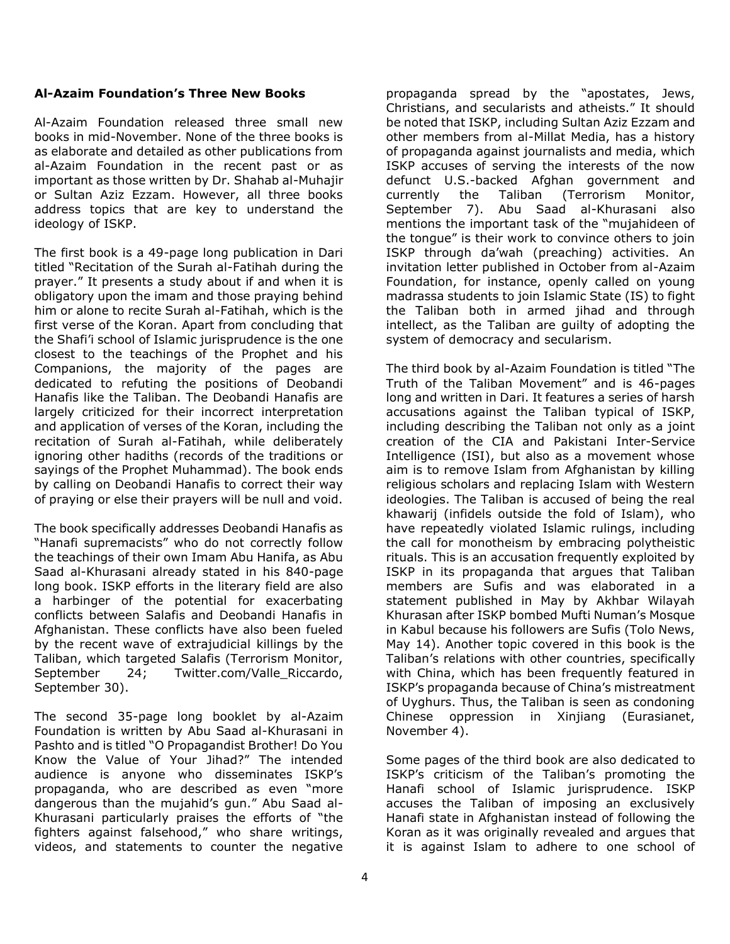#### **Al-Azaim Foundation's Three New Books**

Al-Azaim Foundation released three small new books in mid-November. None of the three books is as elaborate and detailed as other publications from al-Azaim Foundation in the recent past or as important as those written by Dr. Shahab al-Muhajir or Sultan Aziz Ezzam. However, all three books address topics that are key to understand the ideology of ISKP.

The first book is a 49-page long publication in Dari titled "Recitation of the Surah al-Fatihah during the prayer." It presents a study about if and when it is obligatory upon the imam and those praying behind him or alone to recite Surah al-Fatihah, which is the first verse of the Koran. Apart from concluding that the Shafi'i school of Islamic jurisprudence is the one closest to the teachings of the Prophet and his Companions, the majority of the pages are dedicated to refuting the positions of Deobandi Hanafis like the Taliban. The Deobandi Hanafis are largely criticized for their incorrect interpretation and application of verses of the Koran, including the recitation of Surah al-Fatihah, while deliberately ignoring other hadiths (records of the traditions or sayings of the Prophet Muhammad). The book ends by calling on Deobandi Hanafis to correct their way of praying or else their prayers will be null and void.

The book specifically addresses Deobandi Hanafis as "Hanafi supremacists" who do not correctly follow the teachings of their own Imam Abu Hanifa, as Abu Saad al-Khurasani already stated in his 840-page long book. ISKP efforts in the literary field are also a harbinger of the potential for exacerbating conflicts between Salafis and Deobandi Hanafis in Afghanistan. These conflicts have also been fueled by the recent wave of extrajudicial killings by the Taliban, which targeted Salafis (Terrorism Monitor, September 24; Twitter.com/Valle\_Riccardo, September 30).

The second 35-page long booklet by al-Azaim Foundation is written by Abu Saad al-Khurasani in Pashto and is titled "O Propagandist Brother! Do You Know the Value of Your Jihad?" The intended audience is anyone who disseminates ISKP's propaganda, who are described as even "more dangerous than the mujahid's gun." Abu Saad al-Khurasani particularly praises the efforts of "the fighters against falsehood," who share writings, videos, and statements to counter the negative

propaganda spread by the "apostates, Jews, Christians, and secularists and atheists." It should be noted that ISKP, including Sultan Aziz Ezzam and other members from al-Millat Media, has a history of propaganda against journalists and media, which ISKP accuses of serving the interests of the now defunct U.S.-backed Afghan government and currently the Taliban (Terrorism Monitor, September 7). Abu Saad al-Khurasani also mentions the important task of the "mujahideen of the tongue" is their work to convince others to join ISKP through da'wah (preaching) activities. An invitation letter published in October from al-Azaim Foundation, for instance, openly called on young madrassa students to join Islamic State (IS) to fight the Taliban both in armed jihad and through intellect, as the Taliban are guilty of adopting the system of democracy and secularism.

The third book by al-Azaim Foundation is titled "The Truth of the Taliban Movement" and is 46-pages long and written in Dari. It features a series of harsh accusations against the Taliban typical of ISKP, including describing the Taliban not only as a joint creation of the CIA and Pakistani Inter-Service Intelligence (ISI), but also as a movement whose aim is to remove Islam from Afghanistan by killing religious scholars and replacing Islam with Western ideologies. The Taliban is accused of being the real khawarij (infidels outside the fold of Islam), who have repeatedly violated Islamic rulings, including the call for monotheism by embracing polytheistic rituals. This is an accusation frequently exploited by ISKP in its propaganda that argues that Taliban members are Sufis and was elaborated in a statement published in May by Akhbar Wilayah Khurasan after ISKP bombed Mufti Numan's Mosque in Kabul because his followers are Sufis (Tolo News, May 14). Another topic covered in this book is the Taliban's relations with other countries, specifically with China, which has been frequently featured in ISKP's propaganda because of China's mistreatment of Uyghurs. Thus, the Taliban is seen as condoning Chinese oppression in Xinjiang (Eurasianet, November 4).

Some pages of the third book are also dedicated to ISKP's criticism of the Taliban's promoting the Hanafi school of Islamic jurisprudence. ISKP accuses the Taliban of imposing an exclusively Hanafi state in Afghanistan instead of following the Koran as it was originally revealed and argues that it is against Islam to adhere to one school of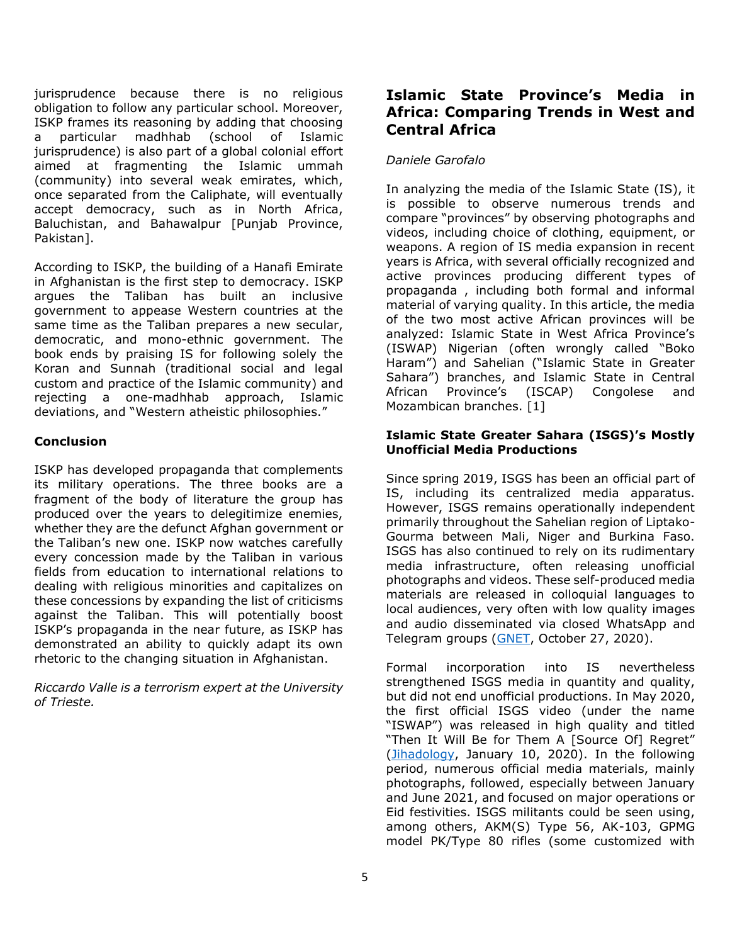jurisprudence because there is no religious obligation to follow any particular school. Moreover, ISKP frames its reasoning by adding that choosing a particular madhhab (school of Islamic jurisprudence) is also part of a global colonial effort aimed at fragmenting the Islamic ummah (community) into several weak emirates, which, once separated from the Caliphate, will eventually accept democracy, such as in North Africa, Baluchistan, and Bahawalpur [Punjab Province, Pakistan].

According to ISKP, the building of a Hanafi Emirate in Afghanistan is the first step to democracy. ISKP argues the Taliban has built an inclusive government to appease Western countries at the same time as the Taliban prepares a new secular, democratic, and mono-ethnic government. The book ends by praising IS for following solely the Koran and Sunnah (traditional social and legal custom and practice of the Islamic community) and rejecting a one-madhhab approach, Islamic deviations, and "Western atheistic philosophies."

#### **Conclusion**

ISKP has developed propaganda that complements its military operations. The three books are a fragment of the body of literature the group has produced over the years to delegitimize enemies, whether they are the defunct Afghan government or the Taliban's new one. ISKP now watches carefully every concession made by the Taliban in various fields from education to international relations to dealing with religious minorities and capitalizes on these concessions by expanding the list of criticisms against the Taliban. This will potentially boost ISKP's propaganda in the near future, as ISKP has demonstrated an ability to quickly adapt its own rhetoric to the changing situation in Afghanistan.

*Riccardo Valle is a terrorism expert at the University of Trieste.*

# **Islamic State Province's Media in Africa: Comparing Trends in West and Central Africa**

# *Daniele Garofalo*

In analyzing the media of the Islamic State (IS), it is possible to observe numerous trends and compare "provinces" by observing photographs and videos, including choice of clothing, equipment, or weapons. A region of IS media expansion in recent years is Africa, with several officially recognized and active provinces producing different types of propaganda , including both formal and informal material of varying quality. In this article, the media of the two most active African provinces will be analyzed: Islamic State in West Africa Province's (ISWAP) Nigerian (often wrongly called "Boko Haram") and Sahelian ("Islamic State in Greater Sahara") branches, and Islamic State in Central African Province's (ISCAP) Congolese and Mozambican branches. [1]

#### **Islamic State Greater Sahara (ISGS)'s Mostly Unofficial Media Productions**

Since spring 2019, ISGS has been an official part of IS, including its centralized media apparatus. However, ISGS remains operationally independent primarily throughout the Sahelian region of Liptako-Gourma between Mali, Niger and Burkina Faso. ISGS has also continued to rely on its rudimentary media infrastructure, often releasing unofficial photographs and videos. These self-produced media materials are released in colloquial languages to local audiences, very often with low quality images and audio disseminated via closed WhatsApp and Telegram groups [\(GNET,](https://gnet-research.org/2020/10/27/digital-dunes-and-shrublands-a-comparative-introduction-to-the-sahelian-jihadi-propaganda-ecosystem/) October 27, 2020).

Formal incorporation into IS nevertheless strengthened ISGS media in quantity and quality, but did not end unofficial productions. In May 2020, the first official ISGS video (under the name "ISWAP") was released in high quality and titled "Then It Will Be for Them A [Source Of] Regret" [\(Jihadology,](https://jihadology.net/2020/01/10/new-video-message-from-the-islamic-state-then-it-will-be-for-them-a-source-of-regret-wilayat-gharb-ifriqiyyah/) January 10, 2020). In the following period, numerous official media materials, mainly photographs, followed, especially between January and June 2021, and focused on major operations or Eid festivities. ISGS militants could be seen using, among others, AKM(S) Type 56, AK-103, GPMG model PK/Type 80 rifles (some customized with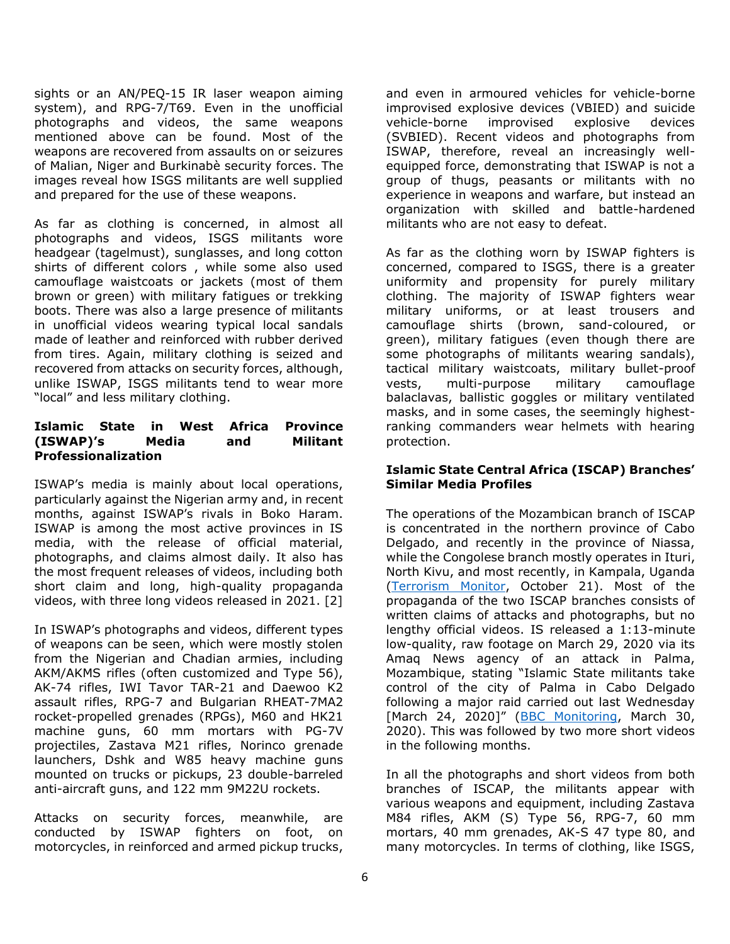sights or an AN/PEQ-15 IR laser weapon aiming system), and RPG-7/T69. Even in the unofficial photographs and videos, the same weapons mentioned above can be found. Most of the weapons are recovered from assaults on or seizures of Malian, Niger and Burkinabè security forces. The images reveal how ISGS militants are well supplied and prepared for the use of these weapons.

As far as clothing is concerned, in almost all photographs and videos, ISGS militants wore headgear (tagelmust), sunglasses, and long cotton shirts of different colors , while some also used camouflage waistcoats or jackets (most of them brown or green) with military fatigues or trekking boots. There was also a large presence of militants in unofficial videos wearing typical local sandals made of leather and reinforced with rubber derived from tires. Again, military clothing is seized and recovered from attacks on security forces, although, unlike ISWAP, ISGS militants tend to wear more "local" and less military clothing.

#### **Islamic State in West Africa Province (ISWAP)'s Media and Militant Professionalization**

ISWAP's media is mainly about local operations, particularly against the Nigerian army and, in recent months, against ISWAP's rivals in Boko Haram. ISWAP is among the most active provinces in IS media, with the release of official material, photographs, and claims almost daily. It also has the most frequent releases of videos, including both short claim and long, high-quality propaganda videos, with three long videos released in 2021. [2]

In ISWAP's photographs and videos, different types of weapons can be seen, which were mostly stolen from the Nigerian and Chadian armies, including AKM/AKMS rifles (often customized and Type 56), AK-74 rifles, IWI Tavor TAR-21 and Daewoo K2 assault rifles, RPG-7 and Bulgarian RHEAT-7MA2 rocket-propelled grenades (RPGs), M60 and HK21 machine guns, 60 mm mortars with PG-7V projectiles, Zastava M21 rifles, Norinco grenade launchers, Dshk and W85 heavy machine guns mounted on trucks or pickups, 23 double-barreled anti-aircraft guns, and 122 mm 9M22U rockets.

Attacks on security forces, meanwhile, are conducted by ISWAP fighters on foot, on motorcycles, in reinforced and armed pickup trucks, and even in armoured vehicles for vehicle-borne improvised explosive devices (VBIED) and suicide vehicle-borne improvised explosive devices (SVBIED). Recent videos and photographs from ISWAP, therefore, reveal an increasingly wellequipped force, demonstrating that ISWAP is not a group of thugs, peasants or militants with no experience in weapons and warfare, but instead an organization with skilled and battle-hardened militants who are not easy to defeat.

As far as the clothing worn by ISWAP fighters is concerned, compared to ISGS, there is a greater uniformity and propensity for purely military clothing. The majority of ISWAP fighters wear military uniforms, or at least trousers and camouflage shirts (brown, sand-coloured, or green), military fatigues (even though there are some photographs of militants wearing sandals), tactical military waistcoats, military bullet-proof vests, multi-purpose military camouflage balaclavas, ballistic goggles or military ventilated masks, and in some cases, the seemingly highestranking commanders wear helmets with hearing protection.

#### **Islamic State Central Africa (ISCAP) Branches' Similar Media Profiles**

The operations of the Mozambican branch of ISCAP is concentrated in the northern province of Cabo Delgado, and recently in the province of Niassa, while the Congolese branch mostly operates in Ituri, North Kivu, and most recently, in Kampala, Uganda [\(Terrorism Monitor,](https://jamestown.org/wp-content/uploads/2021/10/TM-October-21-2021-Issue.pdf?x47723) October 21). Most of the propaganda of the two ISCAP branches consists of written claims of attacks and photographs, but no lengthy official videos. IS released a 1:13-minute low-quality, raw footage on March 29, 2020 via its Amaq News agency of an attack in Palma, Mozambique, stating "Islamic State militants take control of the city of Palma in Cabo Delgado following a major raid carried out last Wednesday [March 24, 2020]" ([BBC Monitoring,](https://monitoring.bbc.co.uk/product/c202gvpt) March 30, 2020). This was followed by two more short videos in the following months.

In all the photographs and short videos from both branches of ISCAP, the militants appear with various weapons and equipment, including Zastava M84 rifles, AKM (S) Type 56, RPG-7, 60 mm mortars, 40 mm grenades, AK-S 47 type 80, and many motorcycles. In terms of clothing, like ISGS,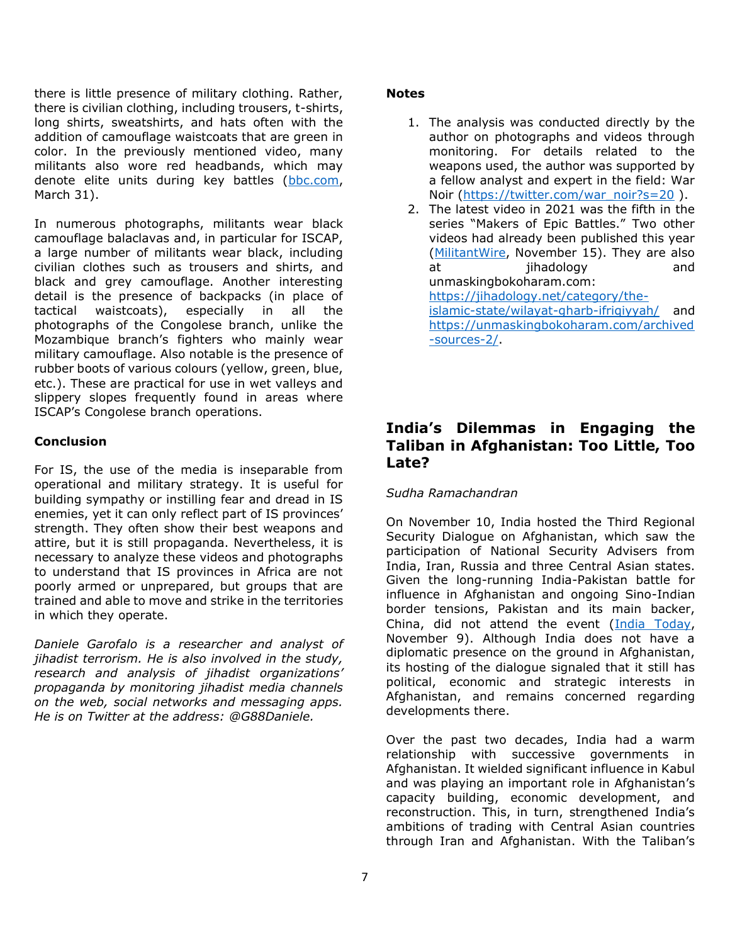there is little presence of military clothing. Rather, there is civilian clothing, including trousers, t-shirts, long shirts, sweatshirts, and hats often with the addition of camouflage waistcoats that are green in color. In the previously mentioned video, many militants also wore red headbands, which may denote elite units during key battles [\(bbc.com,](https://www.bbc.com/news/world-africa-56597861) March 31).

In numerous photographs, militants wear black camouflage balaclavas and, in particular for ISCAP, a large number of militants wear black, including civilian clothes such as trousers and shirts, and black and grey camouflage. Another interesting detail is the presence of backpacks (in place of tactical waistcoats), especially in all the photographs of the Congolese branch, unlike the Mozambique branch's fighters who mainly wear military camouflage. Also notable is the presence of rubber boots of various colours (yellow, green, blue, etc.). These are practical for use in wet valleys and slippery slopes frequently found in areas where ISCAP's Congolese branch operations.

#### **Conclusion**

For IS, the use of the media is inseparable from operational and military strategy. It is useful for building sympathy or instilling fear and dread in IS enemies, yet it can only reflect part of IS provinces' strength. They often show their best weapons and attire, but it is still propaganda. Nevertheless, it is necessary to analyze these videos and photographs to understand that IS provinces in Africa are not poorly armed or unprepared, but groups that are trained and able to move and strike in the territories in which they operate.

*Daniele Garofalo is a researcher and analyst of jihadist terrorism. He is also involved in the study, research and analysis of jihadist organizations' propaganda by monitoring jihadist media channels on the web, social networks and messaging apps. He is on Twitter at the address: @G88Daniele.*

#### **Notes**

- 1. The analysis was conducted directly by the author on photographs and videos through monitoring. For details related to the weapons used, the author was supported by a fellow analyst and expert in the field: War Noir [\(https://twitter.com/war\\_noir?s=20](https://twitter.com/war_noir?s=20)).
- 2. The latest video in 2021 was the fifth in the series "Makers of Epic Battles." Two other videos had already been published this year [\(MilitantWire,](https://www.militantwire.com/p/islamic-state-propaganda-and-operations) November 15). They are also at iihadology and unmaskingbokoharam.com: [https://jihadology.net/category/the](https://jihadology.net/category/the-islamic-state/wilayat-gharb-ifriqiyyah/)[islamic-state/wilayat-gharb-ifriqiyyah/](https://jihadology.net/category/the-islamic-state/wilayat-gharb-ifriqiyyah/) and [https://unmaskingbokoharam.com/archived](https://unmaskingbokoharam.com/archived-sources-2/) [-sources-2/.](https://unmaskingbokoharam.com/archived-sources-2/)

# **India's Dilemmas in Engaging the Taliban in Afghanistan: Too Little, Too Late?**

#### *Sudha Ramachandran*

On November 10, India hosted the Third Regional Security Dialogue on Afghanistan, which saw the participation of National Security Advisers from India, Iran, Russia and three Central Asian states. Given the long-running India-Pakistan battle for influence in Afghanistan and ongoing Sino-Indian border tensions, Pakistan and its main backer, China, did not attend the event [\(India Today,](https://www.indiatoday.in/india/story/pakistan-china-to-skip-nsa-level-meet-afghanistan-hosted-india-1874514-2021-11-09) November 9). Although India does not have a diplomatic presence on the ground in Afghanistan, its hosting of the dialogue signaled that it still has political, economic and strategic interests in Afghanistan, and remains concerned regarding developments there.

Over the past two decades, India had a warm relationship with successive governments in Afghanistan. It wielded significant influence in Kabul and was playing an important role in Afghanistan's capacity building, economic development, and reconstruction. This, in turn, strengthened India's ambitions of trading with Central Asian countries through Iran and Afghanistan. With the Taliban's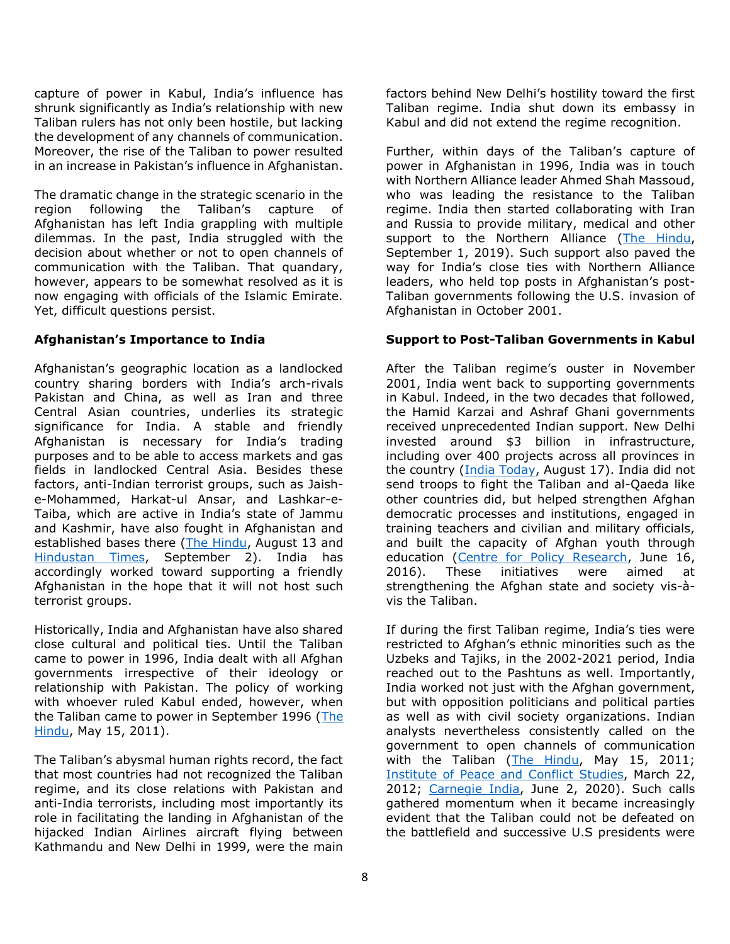capture of power in Kabul, India's influence has shrunk significantly as India's relationship with new Taliban rulers has not only been hostile, but lacking the development of any channels of communication. Moreover, the rise of the Taliban to power resulted in an increase in Pakistan's influence in Afghanistan.

The dramatic change in the strategic scenario in the region following the Taliban's capture of Afghanistan has left India grappling with multiple dilemmas. In the past, India struggled with the decision about whether or not to open channels of communication with the Taliban. That quandary, however, appears to be somewhat resolved as it is now engaging with officials of the Islamic Emirate. Yet, difficult questions persist.

#### **Afghanistan's Importance to India**

Afghanistan's geographic location as a landlocked country sharing borders with India's arch-rivals Pakistan and China, as well as Iran and three Central Asian countries, underlies its strategic significance for India. A stable and friendly Afghanistan is necessary for India's trading purposes and to be able to access markets and gas fields in landlocked Central Asia. Besides these factors, anti-Indian terrorist groups, such as Jaishe-Mohammed, Harkat-ul Ansar, and Lashkar-e-Taiba, which are active in India's state of Jammu and Kashmir, have also fought in Afghanistan and established bases there [\(The Hindu,](https://www.thehindu.com/news/national/taliban-gains-complicate-indias-options/article35898057.ece) August 13 and [Hindustan Times,](https://www.hindustantimes.com/analysis/will-taliban-act-against-al-qaeda-s-kashmir-agenda-101630557019438.html) September 2). India has accordingly worked toward supporting a friendly Afghanistan in the hope that it will not host such terrorist groups.

Historically, India and Afghanistan have also shared close cultural and political ties. Until the Taliban came to power in 1996, India dealt with all Afghan governments irrespective of their ideology or relationship with Pakistan. The policy of working with whoever ruled Kabul ended, however, when the Taliban came to power in September 1996 [\(The](https://www.thehindu.com/opinion/lead/manmohan-singh-resets-afghan-policy/article2021653.ece)  [Hindu,](https://www.thehindu.com/opinion/lead/manmohan-singh-resets-afghan-policy/article2021653.ece) May 15, 2011).

The Taliban's abysmal human rights record, the fact that most countries had not recognized the Taliban regime, and its close relations with Pakistan and anti-India terrorists, including most importantly its role in facilitating the landing in Afghanistan of the hijacked Indian Airlines aircraft flying between Kathmandu and New Delhi in 1999, were the main

factors behind New Delhi's hostility toward the first Taliban regime. India shut down its embassy in Kabul and did not extend the regime recognition.

Further, within days of the Taliban's capture of power in Afghanistan in 1996, India was in touch with Northern Alliance leader Ahmed Shah Massoud, who was leading the resistance to the Taliban regime. India then started collaborating with Iran and Russia to provide military, medical and other support to the Northern Alliance [\(The Hindu,](https://www.thehindu.com/news/national/how-india-secretly-armed-ahmad-shah-massouds-northern-alliance/article29310513.ece) September 1, 2019). Such support also paved the way for India's close ties with Northern Alliance leaders, who held top posts in Afghanistan's post-Taliban governments following the U.S. invasion of Afghanistan in October 2001.

#### **Support to Post-Taliban Governments in Kabul**

After the Taliban regime's ouster in November 2001, India went back to supporting governments in Kabul. Indeed, in the two decades that followed, the Hamid Karzai and Ashraf Ghani governments received unprecedented Indian support. New Delhi invested around \$3 billion in infrastructure, including over 400 projects across all provinces in the country [\(India Today,](https://www.indiatoday.in/business/story/decoding-india-investments-in-afghanistan-return-of-taliban-impact-1841897-2021-08-17) August 17). India did not send troops to fight the Taliban and al-Qaeda like other countries did, but helped strengthen Afghan democratic processes and institutions, engaged in training teachers and civilian and military officials, and built the capacity of Afghan youth through education [\(Centre for Policy Research,](https://www.cprindia.org/research/reports/indian-development-cooperation-afghanistan-and-afghan-india-friendship-dam) June 16, 2016). These initiatives were aimed at strengthening the Afghan state and society vis-àvis the Taliban.

If during the first Taliban regime, India's ties were restricted to Afghan's ethnic minorities such as the Uzbeks and Tajiks, in the 2002-2021 period, India reached out to the Pashtuns as well. Importantly, India worked not just with the Afghan government, but with opposition politicians and political parties as well as with civil society organizations. Indian analysts nevertheless consistently called on the government to open channels of communication with the Taliban [\(The Hindu,](https://www.thehindu.com/opinion/lead/manmohan-singh-resets-afghan-policy/article2021653.ece) May 15, 2011; [Institute of Peace and Conflict Studies,](http://www.ipcs.org/comm_select.php?articleNo=3590) March 22, 2012; [Carnegie India,](https://carnegieindia.org/2020/06/02/dealing-with-taliban-india-s-strategy-in-afghanistan-after-u.s.-withdrawal-pub-81951) June 2, 2020). Such calls gathered momentum when it became increasingly evident that the Taliban could not be defeated on the battlefield and successive U.S presidents were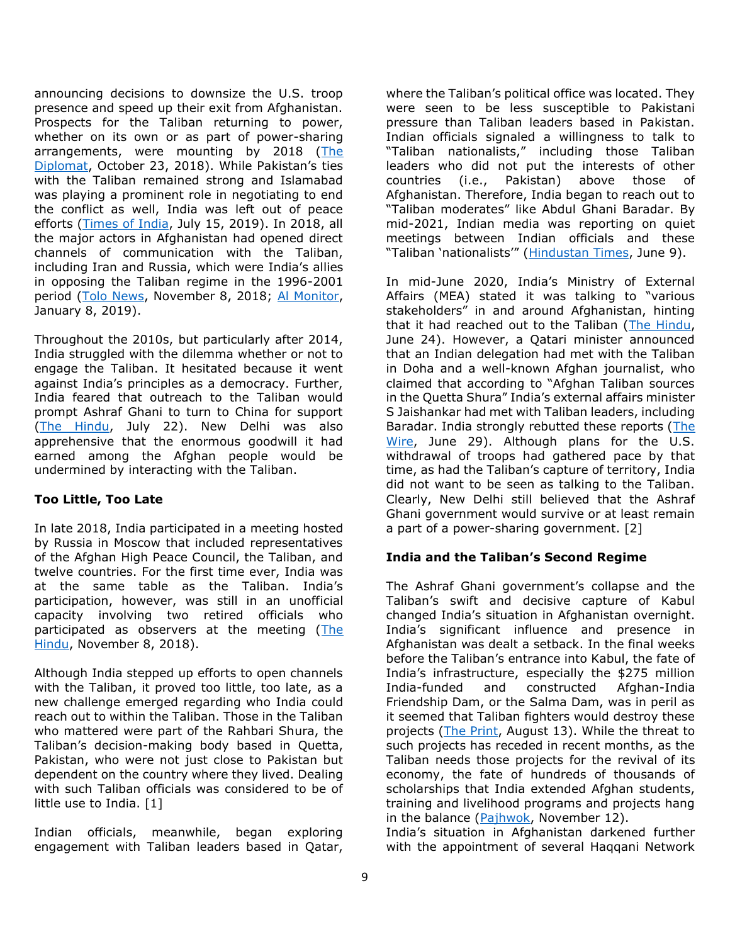announcing decisions to downsize the U.S. troop presence and speed up their exit from Afghanistan. Prospects for the Taliban returning to power, whether on its own or as part of power-sharing arrangements, were mounting by 2018 (The [Diplomat,](https://thediplomat.com/2018/10/indias-policy-thinking-about-its-security-objectives-in-afghanistan-need-reimagination/) October 23, 2018). While Pakistan's ties with the Taliban remained strong and Islamabad was playing a prominent role in negotiating to end the conflict as well, India was left out of peace efforts [\(Times of India,](https://timesofindia.indiatimes.com/world/pakistan/pakistan-to-join-us-russia-and-china-to-craft-prace-pact-with-taliban/articleshow/70219048.cms) July 15, 2019). In 2018, all the major actors in Afghanistan had opened direct channels of communication with the Taliban, including Iran and Russia, which were India's allies in opposing the Taliban regime in the 1996-2001 period [\(Tolo News,](https://tolonews.com/afghanistan/afghan-peace-discussed%C2%A0%C2%A0moscow-summit) November 8, 2018; [Al Monitor,](https://www.al-monitor.com/originals/2019/01/iran-afghanistan-taliban-outreach-uae-saudi-pakistan-trump.html) January 8, 2019).

Throughout the 2010s, but particularly after 2014, India struggled with the dilemma whether or not to engage the Taliban. It hesitated because it went against India's principles as a democracy. Further, India feared that outreach to the Taliban would prompt Ashraf Ghani to turn to China for support [\(The Hindu,](https://www.thehindu.com/opinion/lead/india-must-directly-engage-with-taliban-20/article35454736.ece) July 22). New Delhi was also apprehensive that the enormous goodwill it had earned among the Afghan people would be undermined by interacting with the Taliban.

#### **Too Little, Too Late**

In late 2018, India participated in a meeting hosted by Russia in Moscow that included representatives of the Afghan High Peace Council, the Taliban, and twelve countries. For the first time ever, India was at the same table as the Taliban. India's participation, however, was still in an unofficial capacity involving two retired officials who participated as observers at the meeting (The [Hindu,](https://www.thehindu.com/news/national/taliban-talks-in-moscow-india-to-attend-at-non-official-level/article25445933.ece) November 8, 2018).

Although India stepped up efforts to open channels with the Taliban, it proved too little, too late, as a new challenge emerged regarding who India could reach out to within the Taliban. Those in the Taliban who mattered were part of the Rahbari Shura, the Taliban's decision-making body based in Quetta, Pakistan, who were not just close to Pakistan but dependent on the country where they lived. Dealing with such Taliban officials was considered to be of little use to India. [1]

Indian officials, meanwhile, began exploring engagement with Taliban leaders based in Qatar,

where the Taliban's political office was located. They were seen to be less susceptible to Pakistani pressure than Taliban leaders based in Pakistan. Indian officials signaled a willingness to talk to "Taliban nationalists," including those Taliban leaders who did not put the interests of other countries (i.e., Pakistan) above those of Afghanistan. Therefore, India began to reach out to "Taliban moderates" like Abdul Ghani Baradar. By mid-2021, Indian media was reporting on quiet meetings between Indian officials and these "Taliban 'nationalists'" ([Hindustan Times,](https://www.hindustantimes.com/india-news/in-a-first-india-opens-communication-channels-with-afghan-taliban-factions-101623165405972.html) June 9).

In mid-June 2020, India's Ministry of External Affairs (MEA) stated it was talking to "various stakeholders" in and around Afghanistan, hinting that it had reached out to the Taliban [\(The Hindu,](https://www.thehindu.com/news/national/desire-normal-relations-with-all-neighbours-including-pakistan-india/article34952782.ece) June 24). However, a Qatari minister announced that an Indian delegation had met with the Taliban in Doha and a well-known Afghan journalist, who claimed that according to "Afghan Taliban sources in the Quetta Shura" India's external affairs minister S Jaishankar had met with Taliban leaders, including Baradar. India strongly rebutted these reports [\(The](https://thewire.in/diplomacy/completely-false-india-on-claims-of-jaishankar-meeting-taliban-leaders-in-qatar)  [Wire,](https://thewire.in/diplomacy/completely-false-india-on-claims-of-jaishankar-meeting-taliban-leaders-in-qatar) June 29). Although plans for the U.S. withdrawal of troops had gathered pace by that time, as had the Taliban's capture of territory, India did not want to be seen as talking to the Taliban. Clearly, New Delhi still believed that the Ashraf Ghani government would survive or at least remain a part of a power-sharing government. [2]

#### **India and the Taliban's Second Regime**

The Ashraf Ghani government's collapse and the Taliban's swift and decisive capture of Kabul changed India's situation in Afghanistan overnight. India's significant influence and presence in Afghanistan was dealt a setback. In the final weeks before the Taliban's entrance into Kabul, the fate of India's infrastructure, especially the \$275 million India-funded and constructed Afghan-India Friendship Dam, or the Salma Dam, was in peril as it seemed that Taliban fighters would destroy these projects [\(The Print,](https://theprint.in/world/taliban-seize-of-herat-puts-afghan-india-friendship-dam-and-water-to-thousands-at-risk/714519/) August 13). While the threat to such projects has receded in recent months, as the Taliban needs those projects for the revival of its economy, the fate of hundreds of thousands of scholarships that India extended Afghan students, training and livelihood programs and projects hang in the balance [\(Pajhwok,](https://pajhwok.com/2021/11/12/afghan-scholarship-holding-students-await-indian-visas/) November 12).

India's situation in Afghanistan darkened further with the appointment of several Haqqani Network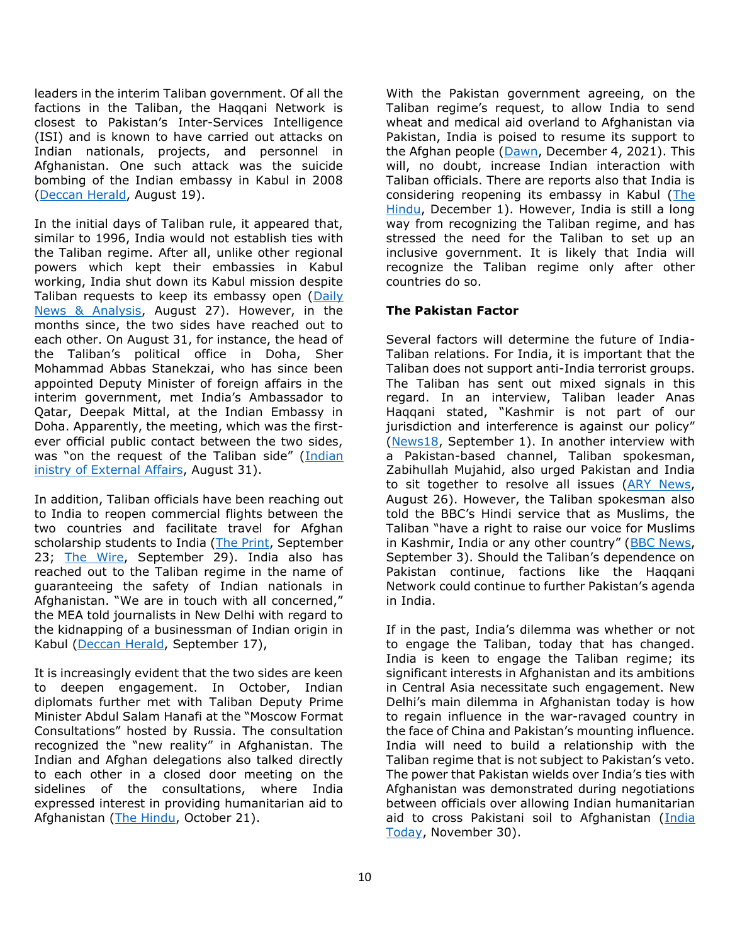leaders in the interim Taliban government. Of all the factions in the Taliban, the Haqqani Network is closest to Pakistan's Inter-Services Intelligence (ISI) and is known to have carried out attacks on Indian nationals, projects, and personnel in Afghanistan. One such attack was the suicide bombing of the Indian embassy in Kabul in 2008 [\(Deccan Herald,](https://www.deccanherald.com/national/india-mum-on-taliban-but-warns-world-about-its-affiliate-haqqani-network-1021477.html) August 19).

In the initial days of Taliban rule, it appeared that, similar to 1996, India would not establish ties with the Taliban regime. After all, unlike other regional powers which kept their embassies in Kabul working, India shut down its Kabul mission despite Taliban requests to keep its embassy open [\(Daily](https://www.dnaindia.com/analysis/column-double-take-india-s-afghan-blunder-taliban-usa-kabul-embassy-2908141)  [News & Analysis,](https://www.dnaindia.com/analysis/column-double-take-india-s-afghan-blunder-taliban-usa-kabul-embassy-2908141) August 27). However, in the months since, the two sides have reached out to each other. On August 31, for instance, the head of the Taliban's political office in Doha, Sher Mohammad Abbas Stanekzai, who has since been appointed Deputy Minister of foreign affairs in the interim government, met India's Ambassador to Qatar, Deepak Mittal, at the Indian Embassy in Doha. Apparently, the meeting, which was the firstever official public contact between the two sides, was "on the request of the Taliban side" ([Indian](https://mea.gov.in/press-releases.htm?dtl/34208/Meeting_in_Doha)  [inistry of External Affairs,](https://mea.gov.in/press-releases.htm?dtl/34208/Meeting_in_Doha) August 31).

In addition, Taliban officials have been reaching out to India to reopen commercial flights between the two countries and facilitate travel for Afghan scholarship students to India [\(The Print,](https://theprint.in/world/what-about-my-future-afghan-students-on-indian-grant-caught-between-taliban-visa-rules/737907/) September 23; [The Wire,](https://thewire.in/diplomacy/taliban-india-official-communication-letter-commercial-flights) September 29). India also has reached out to the Taliban regime in the name of guaranteeing the safety of Indian nationals in Afghanistan. "We are in touch with all concerned," the MEA told journalists in New Delhi with regard to the kidnapping of a businessman of Indian origin in Kabul [\(Deccan Herald,](https://thewire.in/diplomacy/taliban-india-official-communication-letter-commercial-flights) September 17),

It is increasingly evident that the two sides are keen to deepen engagement. In October, Indian diplomats further met with Taliban Deputy Prime Minister Abdul Salam Hanafi at the "Moscow Format Consultations" hosted by Russia. The consultation recognized the "new reality" in Afghanistan. The Indian and Afghan delegations also talked directly to each other in a closed door meeting on the sidelines of the consultations, where India expressed interest in providing humanitarian aid to Afghanistan [\(The Hindu,](https://www.thehindu.com/news/national/indian-team-meets-taliban-deputy-pm/article37100494.ece) October 21).

With the Pakistan government agreeing, on the Taliban regime's request, to allow India to send wheat and medical aid overland to Afghanistan via Pakistan, India is poised to resume its support to the Afghan people [\(Dawn,](https://www.dawn.com/news/1661930) December 4, 2021). This will, no doubt, increase Indian interaction with Taliban officials. There are reports also that India is considering reopening its embassy in Kabul [\(The](https://www.thehindu.com/news/national/india-mulling-options-over-re-opening-mission-in-afghanistan/article37781058.ece)  [Hindu,](https://www.thehindu.com/news/national/india-mulling-options-over-re-opening-mission-in-afghanistan/article37781058.ece) December 1). However, India is still a long way from recognizing the Taliban regime, and has stressed the need for the Taliban to set up an inclusive government. It is likely that India will recognize the Taliban regime only after other countries do so.

#### **The Pakistan Factor**

Several factors will determine the future of India-Taliban relations. For India, it is important that the Taliban does not support anti-India terrorist groups. The Taliban has sent out mixed signals in this regard. In an interview, Taliban leader Anas Haqqani stated, "Kashmir is not part of our jurisdiction and interference is against our policy" [\(News18,](https://www.news18.com/news/world/exclusive-talibans-anas-haqqani-says-wont-interfere-in-kashmir-clarifies-pakistan-connection-4150346.html) September 1). In another interview with a Pakistan-based channel, Taliban spokesman, Zabihullah Mujahid, also urged Pakistan and India to sit together to resolve all issues [\(ARY News,](https://arynews.tv/taliban-see-pakistan-as-second-home-says-spox-zabihullah-mujahid/) August 26). However, the Taliban spokesman also told the BBC's Hindi service that as Muslims, the Taliban "have a right to raise our voice for Muslims in Kashmir, India or any other country" ([BBC News,](https://www.bbc.com/news/world-asia-india-58419719) September 3). Should the Taliban's dependence on Pakistan continue, factions like the Haqqani Network could continue to further Pakistan's agenda in India.

If in the past, India's dilemma was whether or not to engage the Taliban, today that has changed. India is keen to engage the Taliban regime; its significant interests in Afghanistan and its ambitions in Central Asia necessitate such engagement. New Delhi's main dilemma in Afghanistan today is how to regain influence in the war-ravaged country in the face of China and Pakistan's mounting influence. India will need to build a relationship with the Taliban regime that is not subject to Pakistan's veto. The power that Pakistan wields over India's ties with Afghanistan was demonstrated during negotiations between officials over allowing Indian humanitarian aid to cross Pakistani soil to Afghanistan [\(India](https://www.indiatoday.in/india/story/pakistan-puts-transit-conditions-indian-aid-afghanistan-1882482-2021-11-30)  [Today,](https://www.indiatoday.in/india/story/pakistan-puts-transit-conditions-indian-aid-afghanistan-1882482-2021-11-30) November 30).